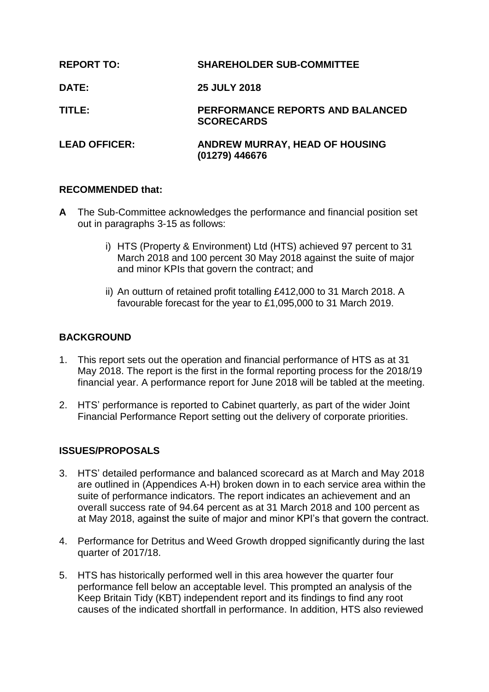| <b>REPORT TO:</b>    | <b>SHAREHOLDER SUB-COMMITTEE</b>                        |
|----------------------|---------------------------------------------------------|
| <b>DATE:</b>         | <b>25 JULY 2018</b>                                     |
| TITLE:               | PERFORMANCE REPORTS AND BALANCED<br><b>SCORECARDS</b>   |
| <b>LEAD OFFICER:</b> | <b>ANDREW MURRAY, HEAD OF HOUSING</b><br>(01279) 446676 |

# **RECOMMENDED that:**

- **A** The Sub-Committee acknowledges the performance and financial position set out in paragraphs 3-15 as follows:
	- i) HTS (Property & Environment) Ltd (HTS) achieved 97 percent to 31 March 2018 and 100 percent 30 May 2018 against the suite of major and minor KPIs that govern the contract; and
	- ii) An outturn of retained profit totalling £412,000 to 31 March 2018. A favourable forecast for the year to £1,095,000 to 31 March 2019.

# **BACKGROUND**

- 1. This report sets out the operation and financial performance of HTS as at 31 May 2018. The report is the first in the formal reporting process for the 2018/19 financial year. A performance report for June 2018 will be tabled at the meeting.
- 2. HTS' performance is reported to Cabinet quarterly, as part of the wider Joint Financial Performance Report setting out the delivery of corporate priorities.

# **ISSUES/PROPOSALS**

- 3. HTS' detailed performance and balanced scorecard as at March and May 2018 are outlined in (Appendices A-H) broken down in to each service area within the suite of performance indicators. The report indicates an achievement and an overall success rate of 94.64 percent as at 31 March 2018 and 100 percent as at May 2018, against the suite of major and minor KPI's that govern the contract.
- 4. Performance for Detritus and Weed Growth dropped significantly during the last quarter of 2017/18.
- 5. HTS has historically performed well in this area however the quarter four performance fell below an acceptable level. This prompted an analysis of the Keep Britain Tidy (KBT) independent report and its findings to find any root causes of the indicated shortfall in performance. In addition, HTS also reviewed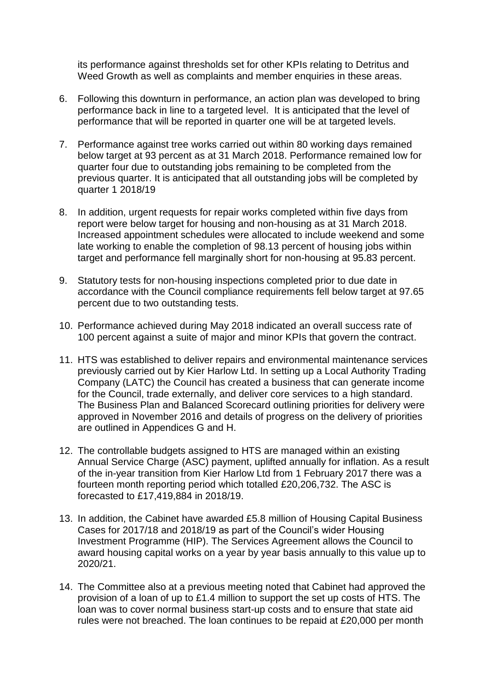its performance against thresholds set for other KPIs relating to Detritus and Weed Growth as well as complaints and member enquiries in these areas.

- 6. Following this downturn in performance, an action plan was developed to bring performance back in line to a targeted level. It is anticipated that the level of performance that will be reported in quarter one will be at targeted levels.
- 7. Performance against tree works carried out within 80 working days remained below target at 93 percent as at 31 March 2018. Performance remained low for quarter four due to outstanding jobs remaining to be completed from the previous quarter. It is anticipated that all outstanding jobs will be completed by quarter 1 2018/19
- 8. In addition, urgent requests for repair works completed within five days from report were below target for housing and non-housing as at 31 March 2018. Increased appointment schedules were allocated to include weekend and some late working to enable the completion of 98.13 percent of housing jobs within target and performance fell marginally short for non-housing at 95.83 percent.
- 9. Statutory tests for non-housing inspections completed prior to due date in accordance with the Council compliance requirements fell below target at 97.65 percent due to two outstanding tests.
- 10. Performance achieved during May 2018 indicated an overall success rate of 100 percent against a suite of major and minor KPIs that govern the contract.
- 11. HTS was established to deliver repairs and environmental maintenance services previously carried out by Kier Harlow Ltd. In setting up a Local Authority Trading Company (LATC) the Council has created a business that can generate income for the Council, trade externally, and deliver core services to a high standard. The Business Plan and Balanced Scorecard outlining priorities for delivery were approved in November 2016 and details of progress on the delivery of priorities are outlined in Appendices G and H.
- 12. The controllable budgets assigned to HTS are managed within an existing Annual Service Charge (ASC) payment, uplifted annually for inflation. As a result of the in-year transition from Kier Harlow Ltd from 1 February 2017 there was a fourteen month reporting period which totalled £20,206,732. The ASC is forecasted to £17,419,884 in 2018/19.
- 13. In addition, the Cabinet have awarded £5.8 million of Housing Capital Business Cases for 2017/18 and 2018/19 as part of the Council's wider Housing Investment Programme (HIP). The Services Agreement allows the Council to award housing capital works on a year by year basis annually to this value up to 2020/21.
- 14. The Committee also at a previous meeting noted that Cabinet had approved the provision of a loan of up to £1.4 million to support the set up costs of HTS. The loan was to cover normal business start-up costs and to ensure that state aid rules were not breached. The loan continues to be repaid at £20,000 per month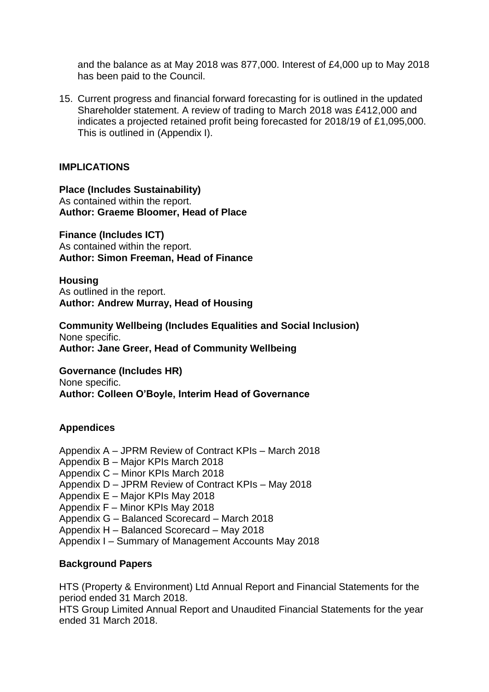and the balance as at May 2018 was 877,000. Interest of £4,000 up to May 2018 has been paid to the Council.

15. Current progress and financial forward forecasting for is outlined in the updated Shareholder statement. A review of trading to March 2018 was £412,000 and indicates a projected retained profit being forecasted for 2018/19 of £1,095,000. This is outlined in (Appendix I).

### **IMPLICATIONS**

#### **Place (Includes Sustainability)**

As contained within the report. **Author: Graeme Bloomer, Head of Place**

**Finance (Includes ICT)** As contained within the report. **Author: Simon Freeman, Head of Finance**

**Housing**

As outlined in the report. **Author: Andrew Murray, Head of Housing**

**Community Wellbeing (Includes Equalities and Social Inclusion)** None specific. **Author: Jane Greer, Head of Community Wellbeing**

**Governance (Includes HR)** None specific. **Author: Colleen O'Boyle, Interim Head of Governance**

# **Appendices**

Appendix A – JPRM Review of Contract KPIs – March 2018

- Appendix B Major KPIs March 2018
- Appendix C Minor KPIs March 2018
- Appendix D JPRM Review of Contract KPIs May 2018
- Appendix E Major KPIs May 2018
- Appendix F Minor KPIs May 2018
- Appendix G Balanced Scorecard March 2018
- Appendix H Balanced Scorecard May 2018
- Appendix I Summary of Management Accounts May 2018

# **Background Papers**

HTS (Property & Environment) Ltd Annual Report and Financial Statements for the period ended 31 March 2018.

HTS Group Limited Annual Report and Unaudited Financial Statements for the year ended 31 March 2018.